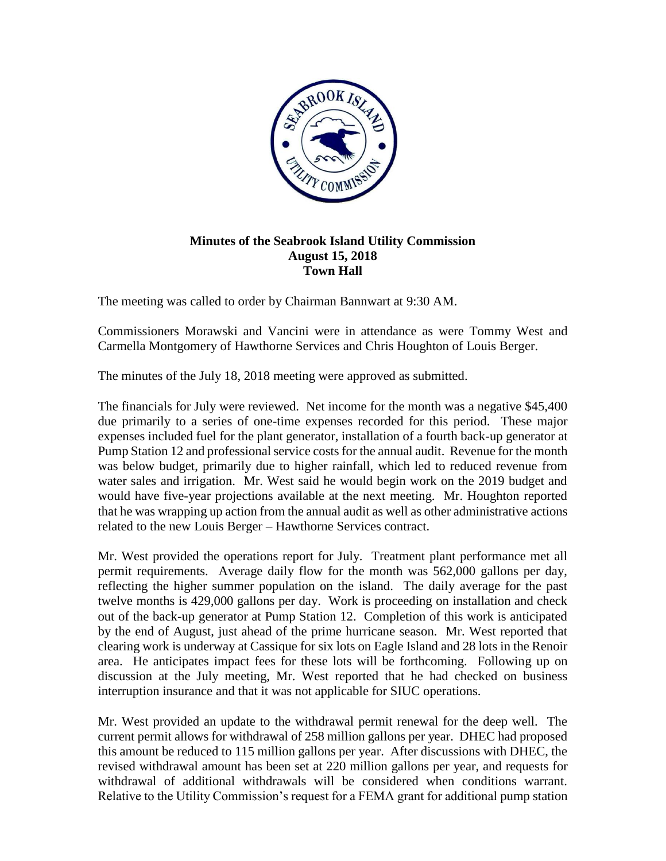

## **Minutes of the Seabrook Island Utility Commission August 15, 2018 Town Hall**

The meeting was called to order by Chairman Bannwart at 9:30 AM.

Commissioners Morawski and Vancini were in attendance as were Tommy West and Carmella Montgomery of Hawthorne Services and Chris Houghton of Louis Berger.

The minutes of the July 18, 2018 meeting were approved as submitted.

The financials for July were reviewed. Net income for the month was a negative \$45,400 due primarily to a series of one-time expenses recorded for this period. These major expenses included fuel for the plant generator, installation of a fourth back-up generator at Pump Station 12 and professional service costs for the annual audit. Revenue for the month was below budget, primarily due to higher rainfall, which led to reduced revenue from water sales and irrigation. Mr. West said he would begin work on the 2019 budget and would have five-year projections available at the next meeting. Mr. Houghton reported that he was wrapping up action from the annual audit as well as other administrative actions related to the new Louis Berger – Hawthorne Services contract.

Mr. West provided the operations report for July. Treatment plant performance met all permit requirements. Average daily flow for the month was 562,000 gallons per day, reflecting the higher summer population on the island. The daily average for the past twelve months is 429,000 gallons per day. Work is proceeding on installation and check out of the back-up generator at Pump Station 12. Completion of this work is anticipated by the end of August, just ahead of the prime hurricane season. Mr. West reported that clearing work is underway at Cassique for six lots on Eagle Island and 28 lots in the Renoir area. He anticipates impact fees for these lots will be forthcoming. Following up on discussion at the July meeting, Mr. West reported that he had checked on business interruption insurance and that it was not applicable for SIUC operations.

Mr. West provided an update to the withdrawal permit renewal for the deep well. The current permit allows for withdrawal of 258 million gallons per year. DHEC had proposed this amount be reduced to 115 million gallons per year. After discussions with DHEC, the revised withdrawal amount has been set at 220 million gallons per year, and requests for withdrawal of additional withdrawals will be considered when conditions warrant. Relative to the Utility Commission's request for a FEMA grant for additional pump station